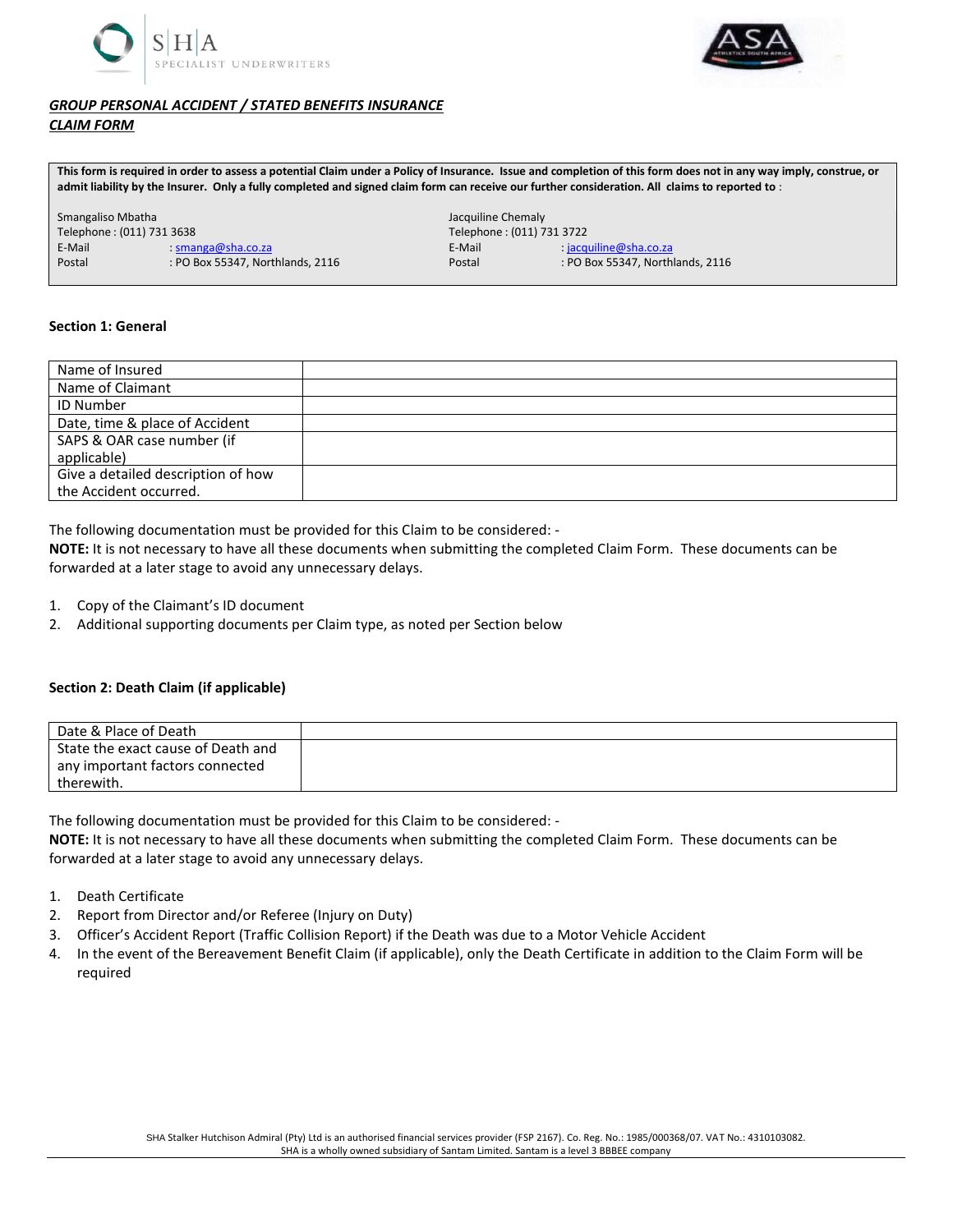



# *GROUP PERSONAL ACCIDENT / STATED BENEFITS INSURANCE CLAIM FORM*

**This form is required in order to assess a potential Claim under a Policy of Insurance. Issue and completion of this form does not in any way imply, construe, or admit liability by the Insurer. Only a fully completed and signed claim form can receive our further consideration. All claims to reported to** :

| Smangaliso Mbatha         |                                  | Jacquiline Chemaly        |                                  |
|---------------------------|----------------------------------|---------------------------|----------------------------------|
| Telephone: (011) 731 3638 |                                  | Telephone: (011) 731 3722 |                                  |
| E-Mail                    | $: \textsf{smanga@sha.co.za}$    | E-Mail                    | $:$ jacquiline@sha.co.za         |
| Postal                    | : PO Box 55347, Northlands, 2116 | Postal                    | : PO Box 55347, Northlands, 2116 |

### **Section 1: General**

| Name of Insured                    |  |
|------------------------------------|--|
| Name of Claimant                   |  |
| <b>ID Number</b>                   |  |
| Date, time & place of Accident     |  |
| SAPS & OAR case number (if         |  |
| applicable)                        |  |
| Give a detailed description of how |  |
| the Accident occurred.             |  |

The following documentation must be provided for this Claim to be considered: -

**NOTE:** It is not necessary to have all these documents when submitting the completed Claim Form. These documents can be forwarded at a later stage to avoid any unnecessary delays.

- 1. Copy of the Claimant's ID document
- 2. Additional supporting documents per Claim type, as noted per Section below

## **Section 2: Death Claim (if applicable)**

| Date & Place of Death                         |  |
|-----------------------------------------------|--|
| State the exact cause of Death and            |  |
| any important factors connected<br>therewith. |  |

The following documentation must be provided for this Claim to be considered: -

**NOTE:** It is not necessary to have all these documents when submitting the completed Claim Form. These documents can be forwarded at a later stage to avoid any unnecessary delays.

- 1. Death Certificate
- 2. Report from Director and/or Referee (Injury on Duty)
- 3. Officer's Accident Report (Traffic Collision Report) if the Death was due to a Motor Vehicle Accident
- 4. In the event of the Bereavement Benefit Claim (if applicable), only the Death Certificate in addition to the Claim Form will be required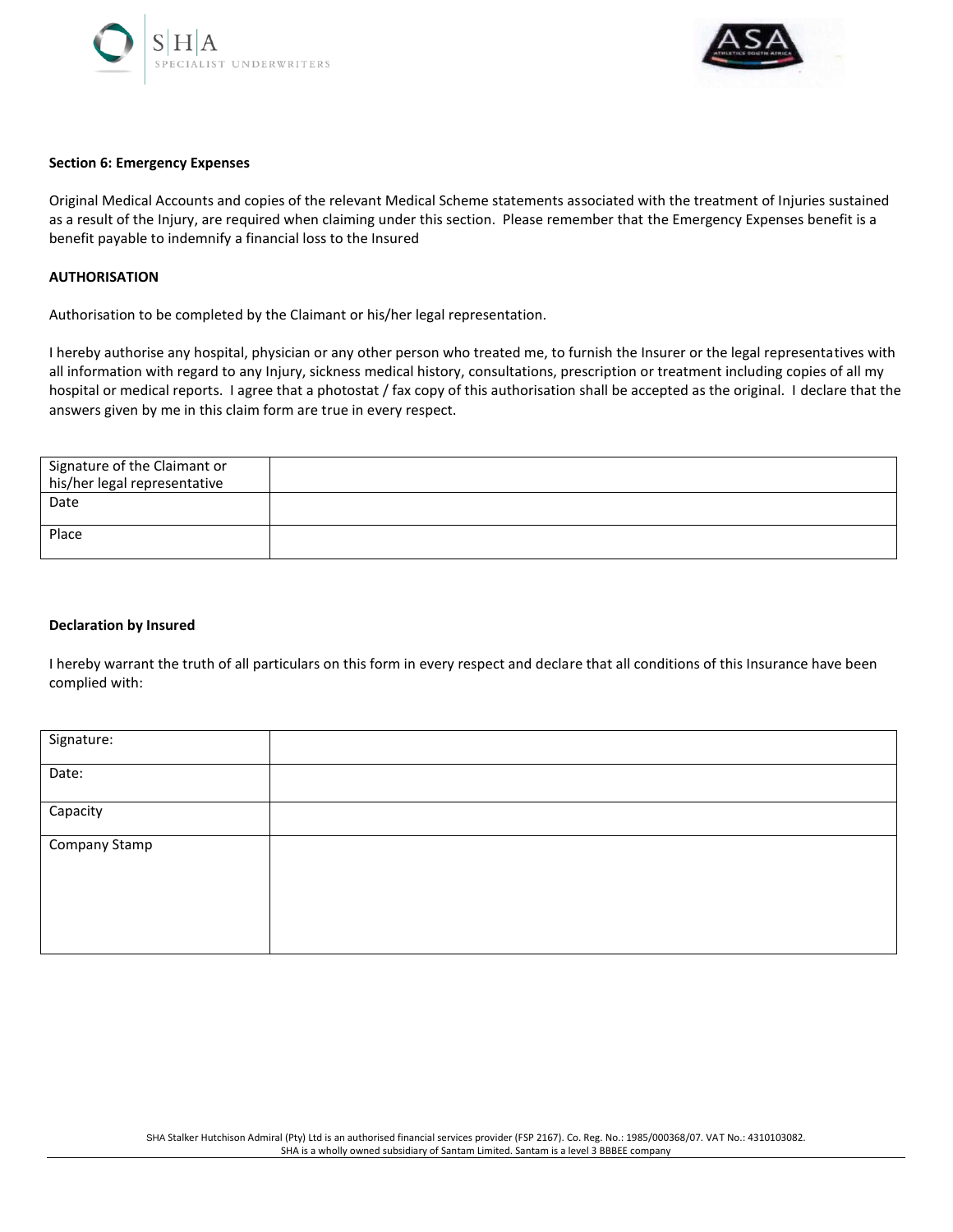



#### **Section 6: Emergency Expenses**

Original Medical Accounts and copies of the relevant Medical Scheme statements associated with the treatment of Injuries sustained as a result of the Injury, are required when claiming under this section. Please remember that the Emergency Expenses benefit is a benefit payable to indemnify a financial loss to the Insured

#### **AUTHORISATION**

Authorisation to be completed by the Claimant or his/her legal representation.

I hereby authorise any hospital, physician or any other person who treated me, to furnish the Insurer or the legal representatives with all information with regard to any Injury, sickness medical history, consultations, prescription or treatment including copies of all my hospital or medical reports. I agree that a photostat / fax copy of this authorisation shall be accepted as the original. I declare that the answers given by me in this claim form are true in every respect.

| Signature of the Claimant or<br>his/her legal representative |  |
|--------------------------------------------------------------|--|
| Date                                                         |  |
| Place                                                        |  |

#### **Declaration by Insured**

I hereby warrant the truth of all particulars on this form in every respect and declare that all conditions of this Insurance have been complied with:

| Signature:           |  |
|----------------------|--|
| Date:                |  |
| Capacity             |  |
| <b>Company Stamp</b> |  |